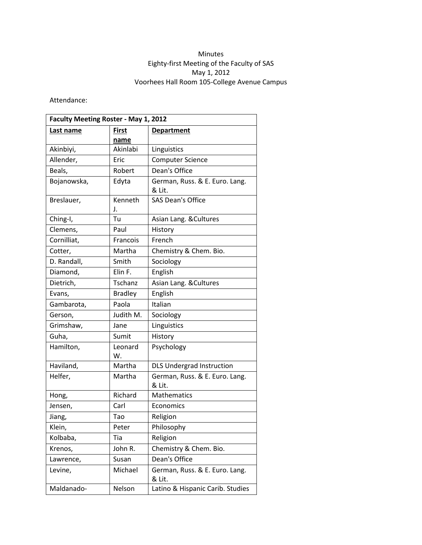## Minutes Eighty-first Meeting of the Faculty of SAS May 1, 2012 Voorhees Hall Room 105-College Avenue Campus

Attendance:

| Faculty Meeting Roster - May 1, 2012 |                      |                                          |
|--------------------------------------|----------------------|------------------------------------------|
| Last name                            | <b>First</b><br>name | <b>Department</b>                        |
| Akinbiyi,                            | Akinlabi             | Linguistics                              |
| Allender,                            | Eric                 | <b>Computer Science</b>                  |
| Beals,                               | Robert               | Dean's Office                            |
| Bojanowska,                          | Edyta                | German, Russ. & E. Euro. Lang.<br>& Lit. |
| Breslauer,                           | Kenneth<br>J.        | <b>SAS Dean's Office</b>                 |
| Ching-I,                             | Tu                   | Asian Lang. & Cultures                   |
| Clemens,                             | Paul                 | History                                  |
| Cornilliat,                          | Francois             | French                                   |
| Cotter,                              | Martha               | Chemistry & Chem. Bio.                   |
| D. Randall,                          | Smith                | Sociology                                |
| Diamond,                             | Elin F.              | English                                  |
| Dietrich,                            | Tschanz              | Asian Lang. & Cultures                   |
| Evans,                               | <b>Bradley</b>       | English                                  |
| Gambarota,                           | Paola                | Italian                                  |
| Gerson,                              | Judith M.            | Sociology                                |
| Grimshaw,                            | Jane                 | Linguistics                              |
| Guha,                                | Sumit                | History                                  |
| Hamilton,                            | Leonard<br>W.        | Psychology                               |
| Haviland,                            | Martha               | <b>DLS Undergrad Instruction</b>         |
| Helfer,                              | Martha               | German, Russ. & E. Euro. Lang.<br>& Lit. |
| Hong,                                | Richard              | <b>Mathematics</b>                       |
| Jensen,                              | Carl                 | Economics                                |
| Jiang,                               | Tao                  | Religion                                 |
| Klein,                               | Peter                | Philosophy                               |
| Kolbaba,                             | Tia                  | Religion                                 |
| Krenos,                              | John R.              | Chemistry & Chem. Bio.                   |
| Lawrence,                            | Susan                | Dean's Office                            |
| Levine,                              | Michael              | German, Russ. & E. Euro. Lang.<br>& Lit. |
| Maldanado-                           | Nelson               | Latino & Hispanic Carib. Studies         |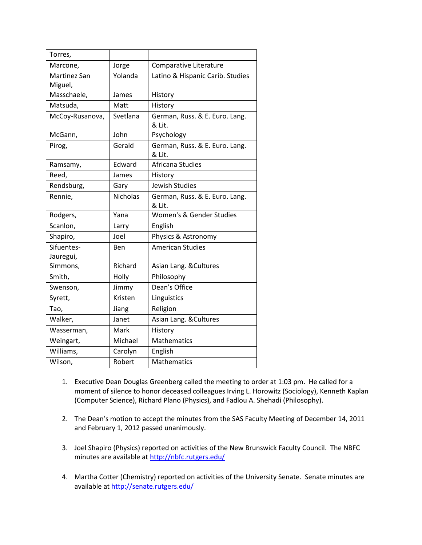| Torres,                        |                 |                                          |
|--------------------------------|-----------------|------------------------------------------|
| Marcone,                       | Jorge           | Comparative Literature                   |
| <b>Martinez San</b><br>Miguel, | Yolanda         | Latino & Hispanic Carib. Studies         |
| Masschaele,                    | James           | History                                  |
| Matsuda,                       | Matt            | History                                  |
| McCoy-Rusanova,                | Svetlana        | German, Russ. & E. Euro. Lang.<br>& Lit. |
| McGann,                        | John            | Psychology                               |
| Pirog,                         | Gerald          | German, Russ. & E. Euro. Lang.<br>& Lit. |
| Ramsamy,                       | Edward          | Africana Studies                         |
| Reed,                          | James           | History                                  |
| Rendsburg,                     | Gary            | Jewish Studies                           |
| Rennie,                        | <b>Nicholas</b> | German, Russ. & E. Euro. Lang.<br>& Lit. |
| Rodgers,                       | Yana            | Women's & Gender Studies                 |
| Scanlon,                       | Larry           | English                                  |
| Shapiro,                       | Joel            | Physics & Astronomy                      |
| Sifuentes-<br>Jauregui,        | Ben             | <b>American Studies</b>                  |
| Simmons,                       | Richard         | Asian Lang. & Cultures                   |
| Smith,                         | Holly           | Philosophy                               |
| Swenson,                       | Jimmy           | Dean's Office                            |
| Syrett,                        | Kristen         | Linguistics                              |
| Tao,                           | Jiang           | Religion                                 |
| Walker,                        | Janet           | Asian Lang. & Cultures                   |
| Wasserman,                     | Mark            | History                                  |
| Weingart,                      | Michael         | <b>Mathematics</b>                       |
| Williams,                      | Carolyn         | English                                  |
| Wilson,                        | Robert          | <b>Mathematics</b>                       |

- 1. Executive Dean Douglas Greenberg called the meeting to order at 1:03 pm. He called for a moment of silence to honor deceased colleagues Irving L. Horowitz (Sociology), Kenneth Kaplan (Computer Science), Richard Plano (Physics), and Fadlou A. Shehadi (Philosophy).
- 2. The Dean's motion to accept the minutes from the SAS Faculty Meeting of December 14, 2011 and February 1, 2012 passed unanimously.
- 3. Joel Shapiro (Physics) reported on activities of the New Brunswick Faculty Council. The NBFC minutes are available a[t http://nbfc.rutgers.edu/](http://nbfc.rutgers.edu/)
- 4. Martha Cotter (Chemistry) reported on activities of the University Senate. Senate minutes are available a[t http://senate.rutgers.edu/](http://senate.rutgers.edu/)